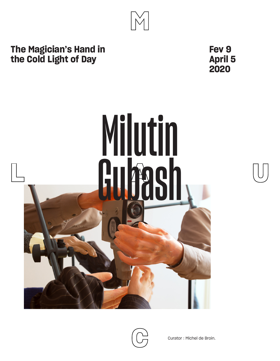# **The Magician's Hand in the Cold Light of Day**

**Fev 9 April 5 2020**



 $\mathbb{M}$ 



Curator : Michel de Broin.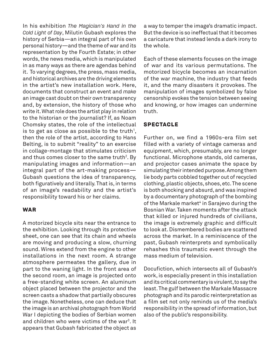In his exhibition *The Magician's Hand in the Cold Light of Day*, Milutin Gubash explores the history of Serbia—an integral part of his own personal history—and the theme of war and its representation by the Fourth Estate; in other words, the news media, which is manipulated in as many ways as there are agendas behind it. To varying degrees, the press, mass media, and historical archives are the driving elements in the artist's new installation work. Here, documents that construct an event and *make* an image cast doubt on their own transparency and, by extension, the history of those who write it. What role does the artist play in relation to the historian or the journalist? If, as Noam Chomsky states, the role of the intellectual is to get as close as possible to the truth<sup>1</sup>, then the role of the artist, according to Hans Belting, is to submit "reality" to an exercise in collage-montage that stimulates criticism and thus comes closer to the same truth<sup>2</sup>. By manipulating images and information—an integral part of the art-making process— Gubash questions the idea of transparency, both figuratively and literally. That is, in terms of an image's readability and the artist's responsibility toward his or her claims.

### **WAR**

A motorized bicycle sits near the entrance to the exhibition. Looking through its protective sheet, one can see that its chain and wheels are moving and producing a slow, churning sound. Wires extend from the engine to other installations in the next room. A strange atmosphere permeates the gallery, due in part to the waning light. In the front area of the second room, an image is projected onto a free-standing white screen. An aluminum object placed between the projector and the screen casts a shadow that partially obscures the image. Nonetheless, one can deduce that the image is an archival photograph from World War I depicting the bodies of Serbian women and children who were victims of the war3 . It appears that Gubash fabricated the object as

a way to temper the image's dramatic impact. But the device is so ineffectual that it becomes a caricature that instead lends a dark irony to the whole.

Each of these elements focuses on the image of war and its various permutations. The motorized bicycle becomes an incarnation of the war machine, the industry that feeds it, and the many disasters it provokes. The manipulation of images symbolized by false censorship evokes the tension between seeing and knowing, or how images can undermine truth.

## **SPECTACLE**

Further on, we find a 1960s-era film set filled with a variety of vintage cameras and equipment, which, presumably, are no longer functional. Microphone stands, old cameras, and projector cases animate the space by simulating their intended purpose. Among them lie body parts cobbled together out of recycled clothing, plastic objects, shoes, etc. The scene is both shocking and absurd, and was inspired by a documentary photograph of the bombing of the Markale market<sup>4</sup> in Sarajevo during the Bosnian War. Taken moments after the attack that killed or injured hundreds of civilians, the image is extremely graphic and difficult to look at. Dismembered bodies are scattered across the market. In a reminiscence of the past, Gubash reinterprets and symbolically rehashes this traumatic event through the mass medium of television.

Docufiction, which intersects all of Gubash's work, is especially present in this installation and its critical commentary is virulent, to say the least. The gulf between the Markale Massacre photograph and its parodic reinterpretation as a film set not only reminds us of the media's responsibility in the spread of information, but also of the public's responsibility.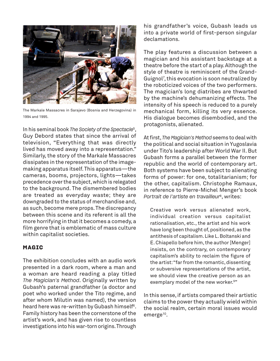

The Markale Massacres in Sarajevo (Bosnia and Herzegovina) in 1994 and 1995.

In his seminal book *The Society of the Spectacle*<sup>5</sup>, Guy Debord states that since the arrival of television, "Everything that was directly lived has moved away into a representation." Similarly, the story of the Markale Massacres dissipates in the representation of the imagemaking apparatus itself. This apparatus—the cameras, booms, projectors, lights—takes precedence over the subject, which is relegated to the background. The dismembered bodies are treated as everyday waste; they are downgraded to the status of merchandise and, as such, become mere props. The discrepancy between this scene and its referent is all the more horrifying in that it becomes a comedy, a film genre that is emblematic of mass culture within capitalist societies.

# **MAGIC**

The exhibition concludes with an audio work presented in a dark room, where a man and a woman are heard reading a play titled *The Magician's Method*. Originally written by Gubash's paternal grandfather (a doctor and poet who worked under the Tito regime, and after whom Milutin was named), the version heard here was re-written by Gubash himself $6$ . Family history has been the cornerstone of the artist's work, and has given rise to countless investigations into his war-torn origins. Through

his grandfather's voice, Gubash leads us into a private world of first-person singular declamations.

The play features a discussion between a magician and his assistant backstage at a theatre before the start of a play. Although the style of theatre is reminiscent of the Grand-Guignol7 , this evocation is soon neutralized by the roboticized voices of the two performers. The magician's long diatribes are thwarted by the machine's dehumanizing effects. The intensity of his speech is reduced to a purely mechanical form, killing its very essence. His dialogue becomes disembodied, and the protagonists, alienated.

At first, *The Magician's Method* seems to deal with the political and social situation in Yugoslavia under Tito's leadership after World War II. But Gubash forms a parallel between the former republic and the world of contemporary art. Both systems have been subject to alienating forms of power: for one, totalitarianism; for the other, capitalism. Christophe Ramaux, in reference to Pierre-Michel Menger's book *Portrait de l'artiste en travailleur*<sup>8</sup>, writes:

Creative work versus alienated work, individual creation versus capitalist rationalisation, etc., the artist and his work have long been thought of, positioned, as the antithesis of capitalism. Like L. Boltanski and E. Chiapello before him, the author [Menger] insists, on the contrary, on contemporary capitalism's ability to reclaim the figure of the artist: "far from the romantic, dissenting or subversive representations of the artist, we should view the creative person as an exemplary model of the new worker.<sup>9</sup>"

In this sense, if artists compared their artistic claims to the power they actually wield within the social realm, certain moral issues would emerge<sup>10</sup>.